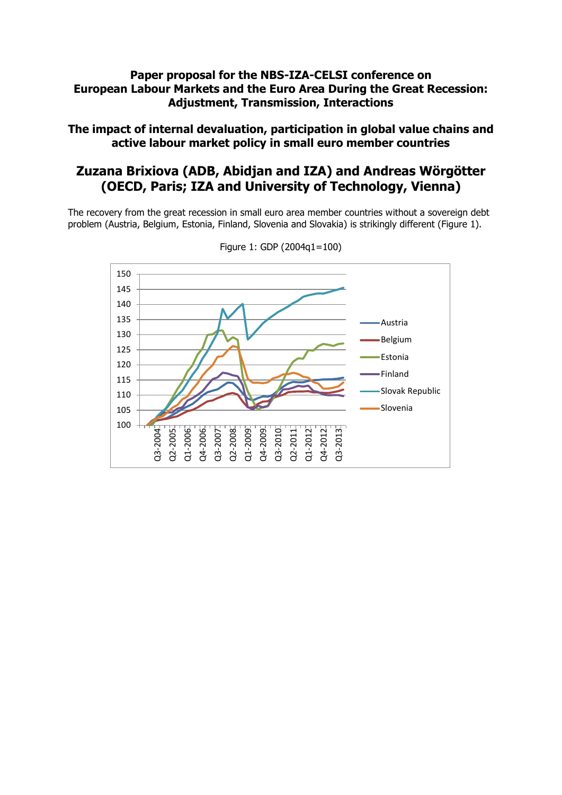## **Paper proposal for the NBS-IZA-CELSI conference on European Labour Markets and the Euro Area During the Great Recession: Adjustment, Transmission, Interactions**

**The impact of internal devaluation, participation in global value chains and active labour market policy in small euro member countries**

## **Zuzana Brixiova (ADB, Abidjan and IZA) and Andreas Wörgötter (OECD, Paris; IZA and University of Technology, Vienna)**

The recovery from the great recession in small euro area member countries without a sovereign debt problem (Austria, Belgium, Estonia, Finland, Slovenia and Slovakia) is strikingly different (Figure 1).



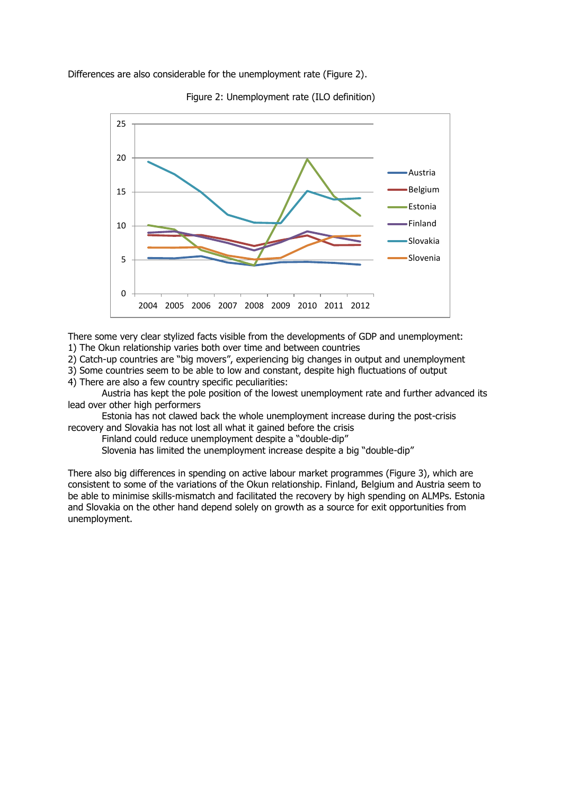Differences are also considerable for the unemployment rate (Figure 2).



Figure 2: Unemployment rate (ILO definition)

There some very clear stylized facts visible from the developments of GDP and unemployment: 1) The Okun relationship varies both over time and between countries

2) Catch-up countries are "big movers", experiencing big changes in output and unemployment

3) Some countries seem to be able to low and constant, despite high fluctuations of output 4) There are also a few country specific peculiarities:

Austria has kept the pole position of the lowest unemployment rate and further advanced its lead over other high performers

Estonia has not clawed back the whole unemployment increase during the post-crisis recovery and Slovakia has not lost all what it gained before the crisis

Finland could reduce unemployment despite a "double-dip"

Slovenia has limited the unemployment increase despite a big "double-dip"

There also big differences in spending on active labour market programmes (Figure 3), which are consistent to some of the variations of the Okun relationship. Finland, Belgium and Austria seem to be able to minimise skills-mismatch and facilitated the recovery by high spending on ALMPs. Estonia and Slovakia on the other hand depend solely on growth as a source for exit opportunities from unemployment.